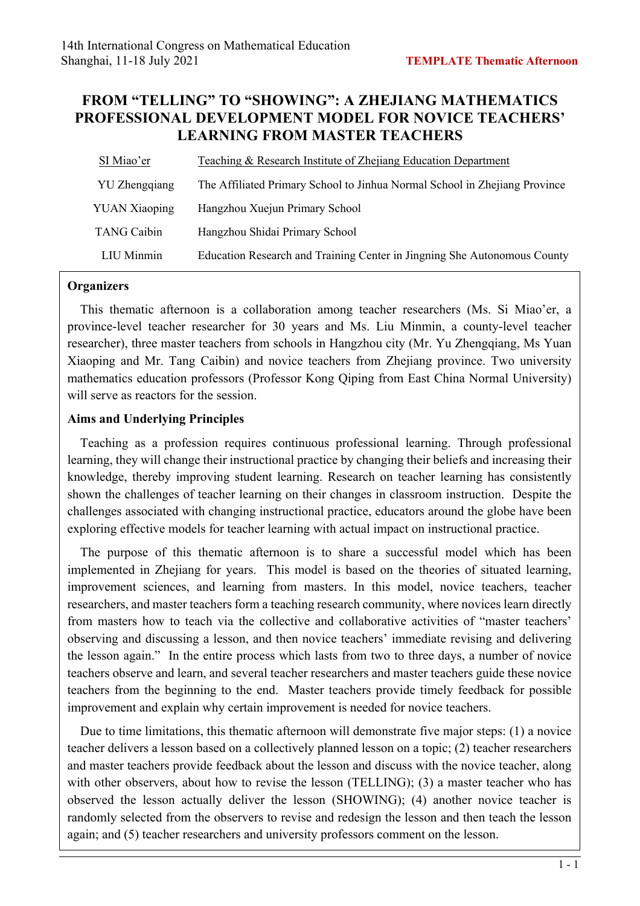# **FROM "TELLING" TO "SHOWING": A ZHEJIANG MATHEMATICS PROFESSIONAL DEVELOPMENT MODEL FOR NOVICE TEACHERS' LEARNING FROM MASTER TEACHERS**

| SI Miao'er           | Teaching & Research Institute of Zhejiang Education Department             |  |
|----------------------|----------------------------------------------------------------------------|--|
| YU Zhengqiang        | The Affiliated Primary School to Jinhua Normal School in Zhejiang Province |  |
| <b>YUAN Xiaoping</b> | Hangzhou Xuejun Primary School                                             |  |
| <b>TANG Caibin</b>   | Hangzhou Shidai Primary School                                             |  |
| LIU Minmin           | Education Research and Training Center in Jingning She Autonomous County   |  |

### **Organizers**

This thematic afternoon is a collaboration among teacher researchers (Ms. Si Miao'er, a province-level teacher researcher for 30 years and Ms. Liu Minmin, a county-level teacher researcher), three master teachers from schools in Hangzhou city (Mr. Yu Zhengqiang, Ms Yuan Xiaoping and Mr. Tang Caibin) and novice teachers from Zhejiang province. Two university mathematics education professors (Professor Kong Qiping from East China Normal University) will serve as reactors for the session.

# **Aims and Underlying Principles**

Teaching as a profession requires continuous professional learning. Through professional learning, they will change their instructional practice by changing their beliefs and increasing their knowledge, thereby improving student learning. Research on teacher learning has consistently shown the challenges of teacher learning on their changes in classroom instruction. Despite the challenges associated with changing instructional practice, educators around the globe have been exploring effective models for teacher learning with actual impact on instructional practice.

The purpose of this thematic afternoon is to share a successful model which has been implemented in Zhejiang for years. This model is based on the theories of situated learning, improvement sciences, and learning from masters. In this model, novice teachers, teacher researchers, and master teachers form a teaching research community, where novices learn directly from masters how to teach via the collective and collaborative activities of "master teachers' observing and discussing a lesson, and then novice teachers' immediate revising and delivering the lesson again." In the entire process which lasts from two to three days, a number of novice teachers observe and learn, and several teacher researchers and master teachers guide these novice teachers from the beginning to the end. Master teachers provide timely feedback for possible improvement and explain why certain improvement is needed for novice teachers.

Due to time limitations, this thematic afternoon will demonstrate five major steps: (1) a novice teacher delivers a lesson based on a collectively planned lesson on a topic; (2) teacher researchers and master teachers provide feedback about the lesson and discuss with the novice teacher, along with other observers, about how to revise the lesson (TELLING); (3) a master teacher who has observed the lesson actually deliver the lesson (SHOWING); (4) another novice teacher is randomly selected from the observers to revise and redesign the lesson and then teach the lesson again; and (5) teacher researchers and university professors comment on the lesson.